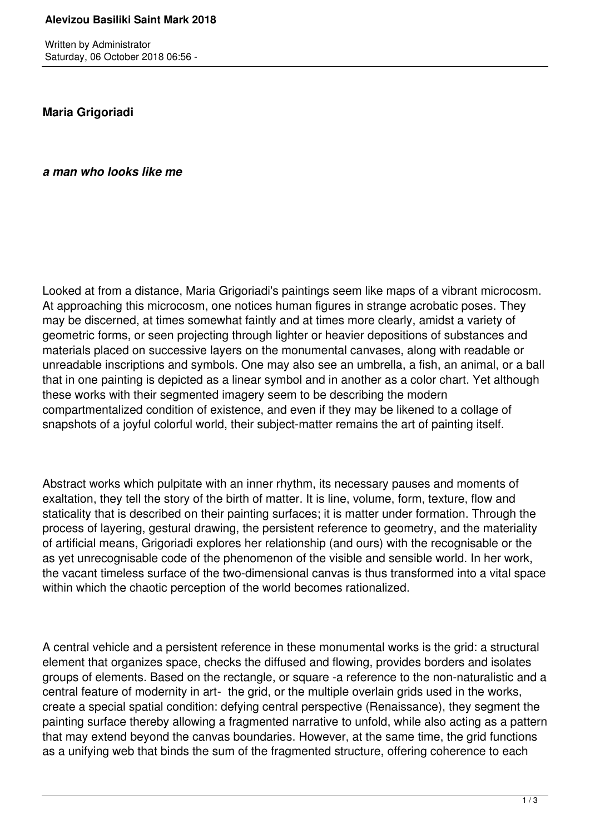Written by Administrator Saturday, 06 October 2018 06:56 -

**Maria Grigoriadi**

*a man who looks like me*

Looked at from a distance, Maria Grigoriadi's paintings seem like maps of a vibrant microcosm. At approaching this microcosm, one notices human figures in strange acrobatic poses. They may be discerned, at times somewhat faintly and at times more clearly, amidst a variety of geometric forms, or seen projecting through lighter or heavier depositions of substances and materials placed on successive layers on the monumental canvases, along with readable or unreadable inscriptions and symbols. One may also see an umbrella, a fish, an animal, or a ball that in one painting is depicted as a linear symbol and in another as a color chart. Yet although these works with their segmented imagery seem to be describing the modern compartmentalized condition of existence, and even if they may be likened to a collage of snapshots of a joyful colorful world, their subject-matter remains the art of painting itself.

Abstract works which pulpitate with an inner rhythm, its necessary pauses and moments of exaltation, they tell the story of the birth of matter. It is line, volume, form, texture, flow and staticality that is described on their painting surfaces; it is matter under formation. Through the process of layering, gestural drawing, the persistent reference to geometry, and the materiality of artificial means, Grigoriadi explores her relationship (and ours) with the recognisable or the as yet unrecognisable code of the phenomenon of the visible and sensible world. In her work, the vacant timeless surface of the two-dimensional canvas is thus transformed into a vital space within which the chaotic perception of the world becomes rationalized.

A central vehicle and a persistent reference in these monumental works is the grid: a structural element that organizes space, checks the diffused and flowing, provides borders and isolates groups of elements. Based on the rectangle, or square -a reference to the non-naturalistic and a central feature of modernity in art- the grid, or the multiple overlain grids used in the works, create a special spatial condition: defying central perspective (Renaissance), they segment the painting surface thereby allowing a fragmented narrative to unfold, while also acting as a pattern that may extend beyond the canvas boundaries. However, at the same time, the grid functions as a unifying web that binds the sum of the fragmented structure, offering coherence to each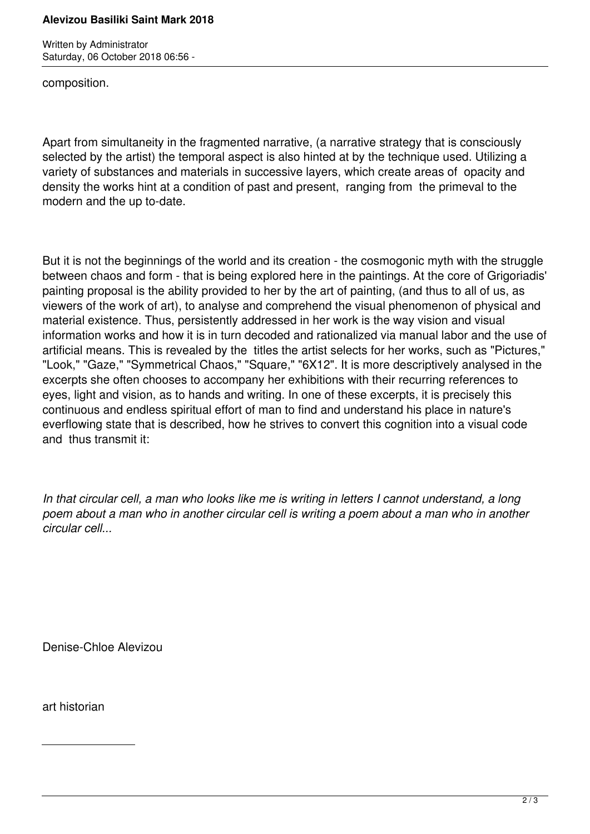## **Alevizou Basiliki Saint Mark 2018**

Written by Administrator Saturday, 06 October 2018 06:56 -

composition.

Apart from simultaneity in the fragmented narrative, (a narrative strategy that is consciously selected by the artist) the temporal aspect is also hinted at by the technique used. Utilizing a variety of substances and materials in successive layers, which create areas of opacity and density the works hint at a condition of past and present, ranging from the primeval to the modern and the up to-date.

But it is not the beginnings of the world and its creation - the cosmogonic myth with the struggle between chaos and form - that is being explored here in the paintings. At the core of Grigoriadis' painting proposal is the ability provided to her by the art of painting, (and thus to all of us, as viewers of the work of art), to analyse and comprehend the visual phenomenon of physical and material existence. Thus, persistently addressed in her work is the way vision and visual information works and how it is in turn decoded and rationalized via manual labor and the use of artificial means. This is revealed by the titles the artist selects for her works, such as "Pictures," "Look," "Gaze," "Symmetrical Chaos," "Square," "6X12". It is more descriptively analysed in the excerpts she often chooses to accompany her exhibitions with their recurring references to eyes, light and vision, as to hands and writing. In one of these excerpts, it is precisely this continuous and endless spiritual effort of man to find and understand his place in nature's everflowing state that is described, how he strives to convert this cognition into a visual code and thus transmit it:

*In that circular cell, a man who looks like me is writing in letters I cannot understand, a long poem about a man who in another circular cell is writing a poem about a man who in another circular cell...*

Denise-Chloe Alevizou

art historian